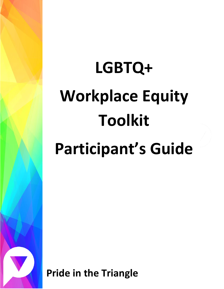# **LGBTQ+ Workplace Equity Toolkit Participant's Guide**

**Pride in the Triangle**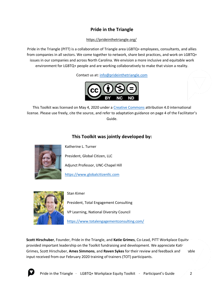## **Pride in the Triangle**

#### <https://prideinthetriangle.org/>

Pride in the Triangle (PITT) is a collaboration of Triangle area LGBTQ+ employees, consultants, and allies from companies in all sectors. We come together to network, share best practices, and work on LGBTQ+ issues in our companies and across North Carolina. We envision a more inclusive and equitable work environment for LGBTQ+ people and are working collaboratively to make that vision a reality.

Contact us at: [info@prideinthetriangle.com](mailto:info@prideinthetriangle.com)



This Toolkit was licensed on May 4, 2020 under a [Creative Commons](https://creativecommons.org/) attribution 4.0 international license. Please use freely, cite the source, and refer to adaptation guidance on page 4 of the Facilitator's Guide.

## **This Toolkit was jointly developed by:**



Katherine L. Turner

President, Global Citizen, LLC

Adjunct Professor, UNC-Chapel Hill

[https://www.globalcitizenllc.com](https://www.globalcitizenllc.com/)



Stan Kimer

President, Total Engagement Consulting

VP Learning, National Diversity Council

<https://www.totalengagementconsulting.com/>

**Scott Hirschuber**, Founder, Pride in the Triangle, and **Katie Grimes**, Co-Lead, PITT Workplace Equity, provided important leadership on the Toolkit fundraising and development. We appreciate Kati Grimes, Scott Hirschuber, **Ames Simmons**, and **Raven Sykes** for their review and feedback and value input received from our February 2020 training of trainers (TOT) participants.

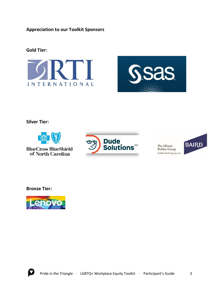**Appreciation to our Toolkit Sponsors**

## **Gold Tier:**





**Silver Tier:**



**BlueCross BlueShield** of North Carolina



The Allman **Bobbie Group** theallmanbobbiegroup.com



**Bronze Tier:**



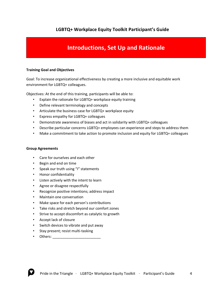### **LGBTQ+ Workplace Equity Toolkit Participant's Guide**

## **Introductions, Set Up and Rationale**

#### **Training Goal and Objectives**

Goal: To increase organizational effectiveness by creating a more inclusive and equitable work environment for LGBTQ+ colleagues.

Objectives: At the end of this training, participants will be able to:

- Explain the rationale for LGBTQ+ workplace equity training
- Define relevant terminology and concepts
- Articulate the business case for LGBTQ+ workplace equity
- Express empathy for LGBTQ+ colleagues
- Demonstrate awareness of biases and act in solidarity with LGBTQ+ colleagues
- Describe particular concerns LGBTQ+ employees can experience and steps to address them
- Make a commitment to take action to promote inclusion and equity for LGBTQ+ colleagues

#### **Group Agreements**

- Care for ourselves and each other
- Begin and end on time
- Speak our truth using "I" statements
- Honor confidentiality
- Listen actively with the intent to learn
- Agree or disagree respectfully
- Recognize positive intentions; address impact
- Maintain one conversation
- Make space for each person's contributions
- Take risks and stretch beyond our comfort zones
- Strive to accept discomfort as catalytic to growth
- Accept lack of closure
- Switch devices to vibrate and put away
- Stay present; resist multi-tasking
- Others: \_\_\_\_\_\_\_\_\_\_\_\_\_\_\_\_\_\_\_\_\_\_\_\_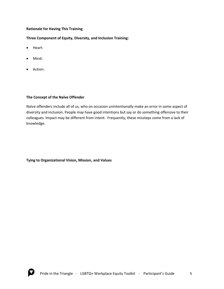#### **Rationale for Having This Training**

**Three Component of Equity, Diversity, and Inclusion Training:**

- Heart:
- Mind:
- Action:

#### **The Concept of the Naïve Offender**

Naïve offenders include all of us, who on occasion unintentionally make an error in some aspect of diversity and inclusion. People may have good intentions but say or do something offensive to their colleagues. Impact may be different from intent. Frequently, these missteps come from a lack of knowledge.

**Tying to Organizational Vision, Mission, and Values**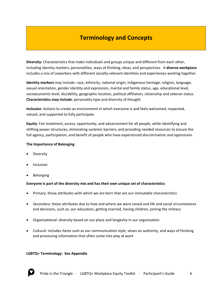# **Terminology and Concepts**

**Diversity:** Characteristics that make individuals and groups unique and different from each other, including identity markers, personalities, ways of thinking, ideas, and perspectives. A **diverse workplace**  includes a mix of coworkers with different socially-relevant identities and experiences working together.

**Identity markers** may include: race, ethnicity, national origin, indigenous heritage, religion, language, sexual orientation, gender identity and expression, marital and family status, age, educational level, socioeconomic level, dis/ability, geographic location, political affiliation, citizenship and veteran status. **Characteristics may include**: personality type and diversity of thought.

**Inclusion**: Actions to create an environment in which everyone is and feels welcomed, respected, valued, and supported to fully participate.

**Equity**: Fair treatment, access, opportunity, and advancement for all people, while identifying and shifting power structures, eliminating systemic barriers, and providing needed resources to ensure the full agency, participation, and benefit of people who have experienced discrimination and oppression.

#### **The Importance of Belonging**

- **Diversity**
- **Inclusion**
- **Belonging**

#### **Everyone is part of the diversity mix and has their own unique set of characteristics**

- Primary: those attributes with which we are born that are our immutable characteristics
- Secondary: those attributes due to how and where we were raised and life and social circumstances and decisions, such as: our education, getting married, having children, joining the military
- Organizational: diversity based on our place and longevity in our organization
- Cultural: includes items such as our communication style, views on authority, and ways of thinking and processing information that often come into play at work

#### **LGBTQ+ Terminology: See Appendix**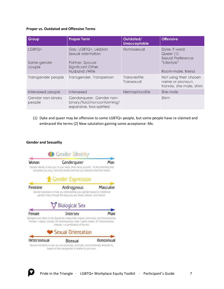#### **Proper vs. Outdated and Offensive Terms**

| Group                           | <b>Proper Term</b>                                                                                  | Outdated/<br><b>Unacceptable</b> | <b>Offensive</b>                                                                   |
|---------------------------------|-----------------------------------------------------------------------------------------------------|----------------------------------|------------------------------------------------------------------------------------|
| LGBTQ+<br>Same-gender<br>couple | Gay, LGBTQ+, Lesbian<br>Sexual orientation<br>Partner, Spouse<br>Significant Other<br>Husband /Wife | Homosexual                       | Dyke, F-word<br>Queer (1)<br>Sexual Preference<br>"Lifestyle"<br>Room-mate, friend |
| Transgender people              | Transgender, Transperson                                                                            | Transvestite<br>Transexual       | Not using their chosen<br>name or pronoun,<br>trannie, she-male, shim              |
| Intersexed people               | Intersexed                                                                                          | Hermaphrodite                    | She-male                                                                           |
| Gender non-binary<br>people     | Genderqueer, Gender non-<br>binary/fluid/nonconforming/<br>expansive, two-spirited                  |                                  | Shim                                                                               |

(1) Dyke and queer may be offensive to some LGBTQ+ people, but some people have re-claimed and embraced the terms (2) New salutation gaining some acceptance: Mx.

#### **Gender and Sexuality**



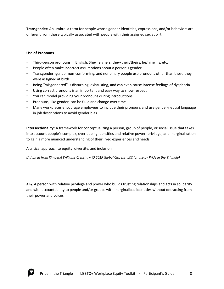**Transgender:** An umbrella term for people whose gender identities, expressions, and/or behaviors are different from those typically associated with people with their assigned sex at birth.

#### **Use of Pronouns**

- Third-person pronouns in English: She/her/hers, they/their/theirs, he/him/his, etc.
- People often make incorrect assumptions about a person's gender
- Transgender, gender non-conforming, and nonbinary people use pronouns other than those they were assigned at birth
- Being "misgendered" is disturbing, exhausting, and can even cause intense feelings of dysphoria
- Using correct pronouns is an important and easy way to show respect
- You can model providing your pronouns during introductions
- Pronouns, like gender, can be fluid and change over time
- Many workplaces encourage employees to include their pronouns and use gender-neutral language in job descriptions to avoid gender bias

**Intersectionality:** A framework for conceptualizing a person, group of people, or social issue that takes into account people's complex, overlapping identities and relative power, privilege, and marginalization to gain a more nuanced understanding of their lived experiences and needs.

A critical approach to equity, diversity, and inclusion.

*(Adapted from Kimberlé Williams Crenshaw © 2019 Global Citizens, LCC for use by Pride in the Triangle)*

**Ally:** A person with relative privilege and power who builds trusting relationships and acts in solidarity and with accountability to people and/or groups with marginalized identities without detracting from their power and voices.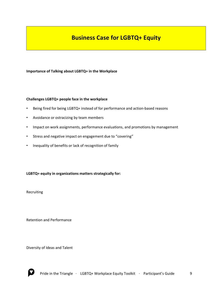# **Business Case for LGBTQ+ Equity**

**Importance of Talking about LGBTQ+ in the Workplace**

#### **Challenges LGBTQ+ people face in the workplace**

- Being fired for being LGBTQ+ instead of for performance and action-based reasons
- Avoidance or ostracizing by team members
- Impact on work assignments, performance evaluations, and promotions by management
- Stress and negative impact on engagement due to "covering"
- Inequality of benefits or lack of recognition of family

**LGBTQ+ equity in organizations matters strategically for:**

Recruiting

Retention and Performance

Diversity of Ideas and Talent

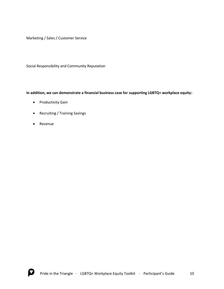Marketing / Sales / Customer Service

Social Responsibility and Community Reputation

#### **In addition, we can demonstrate a financial business case for supporting LGBTQ+ workplace equity:**

- Productivity Gain
- Recruiting / Training Savings
- Revenue

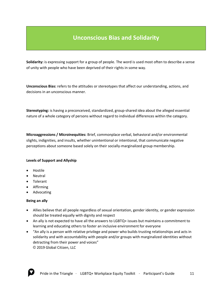# **Unconscious Bias and Solidarity**

**Solidarity:** is expressing support for a group of people. The word is used most often to describe a sense of unity with people who have been deprived of their rights in some way.

**Unconscious Bias:** refers to the attitudes or stereotypes that affect our understanding, actions, and decisions in an unconscious manner.

**Stereotyping:** is having a preconceived, standardized, group-shared idea about the alleged essential nature of a whole category of persons without regard to individual differences within the category.

**Microaggressions / Microinequities:** Brief, commonplace verbal, behavioral and/or environmental slights, indignities, and insults, whether unintentional or intentional, that communicate negative perceptions about someone based solely on their socially-marginalized group membership.

#### **Levels of Support and Allyship**

- Hostile
- Neutral
- Tolerant
- Affirming
- Advocating

#### **Being an ally**

- Allies believe that all people regardless of sexual orientation, gender identity, or gender expression should be treated equally with dignity and respect
- An ally is not expected to have all the answers to LGBTQ+ issues but maintains a commitment to learning and educating others to foster an inclusive environment for everyone
- "An ally is a person with relative privilege and power who builds trusting relationships and acts in solidarity and with accountability with people and/or groups with marginalized identities without detracting from their power and voices" © 2019 Global Citizen, LLC

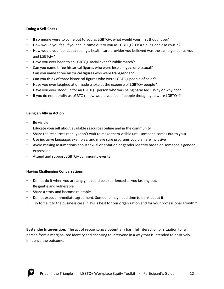#### **Doing a Self-Check**

- If someone were to come out to you as LGBTQ+, what would your first thought be?
- How would you feel if your child came out to you as LGBTQ+? Or a sibling or close cousin?
- How would you feel about seeing a health care provider you believed was the same gender as you and LGBTQ+?
- Have you ever been to an LGBTQ+ social event? Public march?
- Can you name three historical figures who were lesbian, gay, or bisexual?
- Can you name three historical figures who were transgender?
- Can you think of three historical figures who were LGBTQ+ people of color?
- Have you ever laughed at or made a joke at the expense of LGBTQ+ people?
- Have you ever stood up for an LGBTQ+ person who was being harassed? Why or why not?
- If you do not identify as LGBTQ+, how would you feel if people thought you were LGBTQ+?

#### **Being an Ally in Action**

- Be visible
- Educate yourself about available resources online and in the community
- Share the resources readily (don't wait to make them visible until someone comes out to you)
- Use inclusive language, examples, and make sure programs you plan are inclusive
- Avoid making assumptions about sexual orientation or gender identity based on someone's gender expression
- Attend and support LGBTQ+ community events

#### **Having Challenging Conversations**

- Do not do it when you are angry. It could be experienced as you lashing out.
- Be gentle and vulnerable.
- Share a story and become relatable.
- Do not expect immediate agreement. Someone may need time to think about it.
- Try to tie it to the business case: "This is best for our organization and for your professional growth."

**Bystander Intervention:** The act of recognizing a potentially harmful interaction or situation for a person from a marginalized identity and choosing to intervene in a way that is intended to positively influence the outcome.

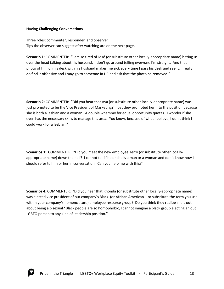#### **Having Challenging Conversations**

Three roles: commenter, responder, and observer Tips the observer can suggest after watching are on the next page.

**Scenario 1:** COMMENTER: "I am so tired of José (or substitute other locally-appropriate name) hitting us over the head talking about his husband. I don't go around telling everyone I'm straight. And that photo of him on his desk with his husband makes me sick every time I pass his desk and see it. I really do find it offensive and I may go to someone in HR and ask that the photo be removed."

**Scenario 2:** COMMENTER: "Did you hear that Aya (or substitute other locally-appropriate name) was just promoted to be the Vice President of Marketing? I bet they promoted her into the position because she is both a lesbian and a woman. A double whammy for equal opportunity quotas. I wonder if she even has the necessary skills to manage this area. You know, because of what I believe, I don't think I could work for a lesbian."

**Scenarios 3:** COMMENTER: "Did you meet the new employee Terry (or substitute other locallyappropriate name) down the hall? I cannot tell if he or she is a man or a woman and don't know how I should refer to him or her in conversation. Can you help me with this?"

**Scenarios 4:** COMMENTER: "Did you hear that Rhonda (or substitute other locally-appropriate name) was elected vice president of our company's Black (or African American – or substitute the term you use within your company's nomenclature) employee resource group? Do you think they realize she's out about being a bisexual? Black people are so homophobic, I cannot imagine a black group electing an out LGBTQ person to any kind of leadership position."

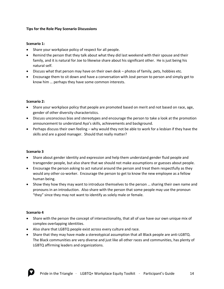#### **Tips for the Role Play Scenario Discussions**

#### **Scenario 1:**

- Share your workplace policy of respect for all people.
- Remind the person that they talk about what they did last weekend with their spouse and their family, and it is natural for Joe to likewise share about his significant other. He is just being his natural self.
- Discuss what that person may have on their own desk photos of family, pets, hobbies etc.
- Encourage them to sit down and have a conversation with José person to person and simply get to know him … perhaps they have some common interests.

#### **Scenario 2:**

- Share your workplace policy that people are promoted based on merit and not based on race, age, gender of other diversity characteristics.
- Discuss unconscious bias and stereotypes and encourage the person to take a look at the promotion announcement to understand Aya's skills, achievements and background.
- Perhaps discuss their own feeling why would they not be able to work for a lesbian if they have the skills and are a good manager. Should that really matter?

#### **Scenario 3**

- Share about gender identity and expression and help them understand gender fluid people and transgender people, but also share that we should not make assumptions or guesses about people.
- Encourage the person asking to act natural around the person and treat them respectfully as they would any other co-worker. Encourage the person to get to know the new employee as a fellow human being.
- Show they how they may want to introduce themselves to the person … sharing their own name and pronouns in an introduction. Also share with the person that some people may use the pronoun "they" since they may not want to identify as solely male or female.

#### **Scenario 4**

- Share with the person the concept of intersectionality, that all of use have our own unique mix of complex overlapping identities.
- Also share that LGBTQ people exist across every culture and race.
- Share that they may have made a stereotypical assumption that all Black people are anti-LGBTQ. The Black communities are very diverse and just like all other races and communities, has plenty of LGBTQ affirming leaders and organizations.

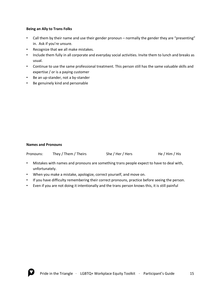#### **Being an Ally to Trans Folks**

- Call them by their name and use their gender pronoun normally the gender they are "presenting" in. Ask if you're unsure.
- Recognize that we all make mistakes.
- Include them fully in all corporate and everyday social activities. Invite them to lunch and breaks as usual.
- Continue to use the same professional treatment. This person still has the same valuable skills and expertise / or is a paying customer
- Be an up-stander, not a by-stander
- Be genuinely kind and personable

#### **Names and Pronouns**

| Pronouns: | They / Them / Theirs | She / Her / Hers | He / Him / His |
|-----------|----------------------|------------------|----------------|
|           |                      |                  |                |

- Mistakes with names and pronouns are something trans people expect to have to deal with, unfortunately.
- When you make a mistake, apologize, correct yourself, and move on.
- If you have difficulty remembering their correct pronouns, practice before seeing the person.
- Even if you are not doing it intentionally and the trans person knows this, it is still painful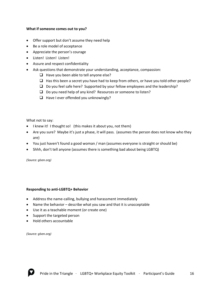#### **What if someone comes out to you?**

- Offer support but don't assume they need help
- Be a role model of acceptance
- Appreciate the person's courage
- Listen! Listen! Listen!
- Assure and respect confidentiality
- Ask questions that demonstrate your understanding, acceptance, compassion:
	- ❑ Have you been able to tell anyone else?
	- $\Box$  Has this been a secret you have had to keep from others, or have you told other people?
	- ❑ Do you feel safe here? Supported by your fellow employees and the leadership?
	- ❑ Do you need help of any kind? Resources or someone to listen?
	- ❑ Have I ever offended you unknowingly?

What not to say:

- I knew it! I thought so! (this makes it about you, not them)
- Are you sure? Maybe it's just a phase, it will pass. (assumes the person does not know who they are)
- You just haven't found a good woman / man (assumes everyone is straight or should be)
- Shhh, don't tell anyone (assumes there is something bad about being LGBTQ)

*(Source: glsen.org)*

#### **Responding to anti-LGBTQ+ Behavior**

- Address the name-calling, bullying and harassment immediately
- Name the behavior describe what you saw and that it is unacceptable
- Use it as a teachable moment (or create one)
- Support the targeted person
- Hold others accountable

*(Source: glsen.org)*

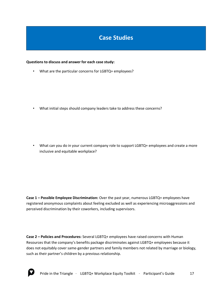# **Case Studies**

#### **Questions to discuss and answer for each case study:**

• What are the particular concerns for LGBTQ+ employees?

• What initial steps should company leaders take to address these concerns?

• What can you do in your current company role to support LGBTQ+ employees and create a more inclusive and equitable workplace?

**Case 1 – Possible Employee Discrimination:** Over the past year, numerous LGBTQ+ employees have registered anonymous complaints about feeling excluded as well as experiencing microaggressions and perceived discrimination by their coworkers, including supervisors.

**Case 2 – Policies and Procedures:** Several LGBTQ+ employees have raised concerns with Human Resources that the company's benefits package discriminates against LGBTQ+ employees because it does not equitably cover same-gender partners and family members not related by marriage or biology, such as their partner's children by a previous relationship.

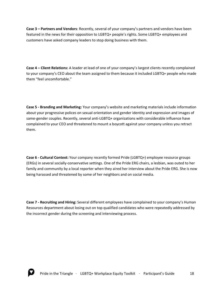**Case 3 – Partners and Vendors**: Recently, several of your company's partners and vendors have been featured in the news for their opposition to LGBTQ+ people's rights. Some LGBTQ+ employees and customers have asked company leaders to stop doing business with them.

**Case 4 – Client Relations:** A leader at lead of one of your company's largest clients recently complained to your company's CEO about the team assigned to them because it included LGBTQ+ people who made them "feel uncomfortable."

**Case 5 - Branding and Marketing:** Your company's website and marketing materials include information about your progressive polices on sexual orientation and gender identity and expression and images of same-gender couples. Recently, several anti-LGBTQ+ organizations with considerable influence have complained to your CEO and threatened to mount a boycott against your company unless you retract them.

**Case 6 - Cultural Context:** Your company recently formed Pride (LGBTQ+) employee resource groups (ERGs) in several socially-conservative settings. One of the Pride ERG chairs, a lesbian, was outed to her family and community by a local reporter when they aired her interview about the Pride ERG. She is now being harassed and threatened by some of her neighbors and on social media.

**Case 7 - Recruiting and Hiring:** Several different employees have complained to your company's Human Resources department about losing out on top qualified candidates who were repeatedly addressed by the incorrect gender during the screening and interviewing process.

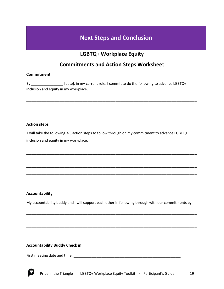# **Next Steps and Conclusion**

## **LGBTQ+ Workplace Equity**

## **Commitments and Action Steps Worksheet**

\_\_\_\_\_\_\_\_\_\_\_\_\_\_\_\_\_\_\_\_\_\_\_\_\_\_\_\_\_\_\_\_\_\_\_\_\_\_\_\_\_\_\_\_\_\_\_\_\_\_\_\_\_\_\_\_\_\_\_\_\_\_\_\_\_\_\_ \_\_\_\_\_\_\_\_\_\_\_\_\_\_\_\_\_\_\_\_\_\_\_\_\_\_\_\_\_\_\_\_\_\_\_\_\_\_\_\_\_\_\_\_\_\_\_\_\_\_\_\_\_\_\_\_\_\_\_\_\_\_\_\_\_\_\_

#### **Commitment**

By \_\_\_\_\_\_\_\_\_\_\_\_\_\_\_\_\_\_\_\_\_\_\_[date], in my current role, I commit to do the following to advance LGBTQ+ inclusion and equity in my workplace.

#### **Action steps**

I will take the following 3-5 action steps to follow through on my commitment to advance LGBTQ+ inclusion and equity in my workplace.

\_\_\_\_\_\_\_\_\_\_\_\_\_\_\_\_\_\_\_\_\_\_\_\_\_\_\_\_\_\_\_\_\_\_\_\_\_\_\_\_\_\_\_\_\_\_\_\_\_\_\_\_\_\_\_\_\_\_\_\_\_\_\_\_\_\_\_ \_\_\_\_\_\_\_\_\_\_\_\_\_\_\_\_\_\_\_\_\_\_\_\_\_\_\_\_\_\_\_\_\_\_\_\_\_\_\_\_\_\_\_\_\_\_\_\_\_\_\_\_\_\_\_\_\_\_\_\_\_\_\_\_\_\_\_ \_\_\_\_\_\_\_\_\_\_\_\_\_\_\_\_\_\_\_\_\_\_\_\_\_\_\_\_\_\_\_\_\_\_\_\_\_\_\_\_\_\_\_\_\_\_\_\_\_\_\_\_\_\_\_\_\_\_\_\_\_\_\_\_\_\_\_ \_\_\_\_\_\_\_\_\_\_\_\_\_\_\_\_\_\_\_\_\_\_\_\_\_\_\_\_\_\_\_\_\_\_\_\_\_\_\_\_\_\_\_\_\_\_\_\_\_\_\_\_\_\_\_\_\_\_\_\_\_\_\_\_\_\_\_

#### **Accountability**

My accountability buddy and I will support each other in following through with our commitments by:

\_\_\_\_\_\_\_\_\_\_\_\_\_\_\_\_\_\_\_\_\_\_\_\_\_\_\_\_\_\_\_\_\_\_\_\_\_\_\_\_\_\_\_\_\_\_\_\_\_\_\_\_\_\_\_\_\_\_\_\_\_\_\_\_\_\_\_ \_\_\_\_\_\_\_\_\_\_\_\_\_\_\_\_\_\_\_\_\_\_\_\_\_\_\_\_\_\_\_\_\_\_\_\_\_\_\_\_\_\_\_\_\_\_\_\_\_\_\_\_\_\_\_\_\_\_\_\_\_\_\_\_\_\_\_ \_\_\_\_\_\_\_\_\_\_\_\_\_\_\_\_\_\_\_\_\_\_\_\_\_\_\_\_\_\_\_\_\_\_\_\_\_\_\_\_\_\_\_\_\_\_\_\_\_\_\_\_\_\_\_\_\_\_\_\_\_\_\_\_\_\_\_

#### **Accountability Buddy Check in**

First meeting date and time: \_\_\_\_\_\_\_\_\_\_\_\_\_\_\_\_\_\_\_\_\_\_\_\_\_\_\_\_\_\_\_\_\_\_\_\_\_\_\_\_\_\_

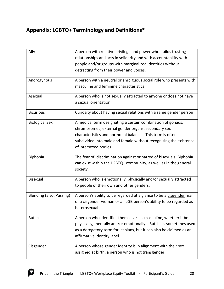# **Appendix: LGBTQ+ Terminology and Definitions\***

| Ally                     | A person with relative privilege and power who builds trusting<br>relationships and acts in solidarity and with accountability with<br>people and/or groups with marginalized identities without<br>detracting from their power and voices.                                  |
|--------------------------|------------------------------------------------------------------------------------------------------------------------------------------------------------------------------------------------------------------------------------------------------------------------------|
| Androgynous              | A person with a neutral or ambiguous social role who presents with<br>masculine and feminine characteristics                                                                                                                                                                 |
| Asexual                  | A person who is not sexually attracted to anyone or does not have<br>a sexual orientation                                                                                                                                                                                    |
| <b>Bicurious</b>         | Curiosity about having sexual relations with a same gender person                                                                                                                                                                                                            |
| <b>Biological Sex</b>    | A medical term designating a certain combination of gonads,<br>chromosomes, external gender organs, secondary sex<br>characteristics and hormonal balances. This term is often<br>subdivided into male and female without recognizing the existence<br>of intersexed bodies. |
| Biphobia                 | The fear of, discrimination against or hatred of bisexuals. Biphobia<br>can exist within the LGBTQ+ community, as well as in the general<br>society.                                                                                                                         |
| <b>Bisexual</b>          | A person who is emotionally, physically and/or sexually attracted<br>to people of their own and other genders.                                                                                                                                                               |
| Blending (also: Passing) | A person's ability to be regarded at a glance to be a cisgender man<br>or a cisgender woman or an LGB person's ability to be regarded as<br>heterosexual.                                                                                                                    |
| <b>Butch</b>             | A person who identifies themselves as masculine, whether it be<br>physically, mentally and/or emotionally. "Butch" is sometimes used<br>as a derogatory term for lesbians, but it can also be claimed as an<br>affirmative identity label.                                   |
| Cisgender                | A person whose gender identity is in alignment with their sex<br>assigned at birth; a person who is not transgender.                                                                                                                                                         |

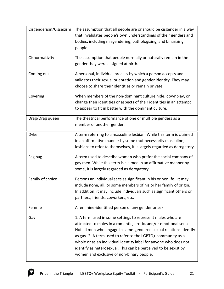| Cisgenderism/Cissexism | The assumption that all people are or should be cisgender in a way     |
|------------------------|------------------------------------------------------------------------|
|                        | that invalidates people's own understandings of their genders and      |
|                        | bodies, including misgendering, pathologizing, and binarizing          |
|                        | people.                                                                |
| Cisnormativity         | The assumption that people normally or naturally remain in the         |
|                        | gender they were assigned at birth.                                    |
| Coming out             | A personal, individual process by which a person accepts and           |
|                        | validates their sexual orientation and gender identity. They may       |
|                        | choose to share their identities or remain private.                    |
| Covering               | When members of the non-dominant culture hide, downplay, or            |
|                        | change their identities or aspects of their identities in an attempt   |
|                        | to appear to fit in better with the dominant culture.                  |
| Drag/Drag queen        | The theatrical performance of one or multiple genders as a             |
|                        | member of another gender.                                              |
| Dyke                   | A term referring to a masculine lesbian. While this term is claimed    |
|                        | in an affirmative manner by some (not necessarily masculine)           |
|                        | lesbians to refer to themselves, it is largely regarded as derogatory. |
| Fag hag                | A term used to describe women who prefer the social company of         |
|                        | gay men. While this term is claimed in an affirmative manner by        |
|                        | some, it is largely regarded as derogatory.                            |
| Family of choice       | Persons an individual sees as significant in his or her life. It may   |
|                        | include none, all, or some members of his or her family of origin.     |
|                        | In addition, it may include individuals such as significant others or  |
|                        | partners, friends, coworkers, etc.                                     |
| Femme                  | A feminine-identified person of any gender or sex                      |
| Gay                    | 1. A term used in some settings to represent males who are             |
|                        | attracted to males in a romantic, erotic, and/or emotional sense.      |
|                        | Not all men who engage in same-gendered sexual relations identify      |
|                        | as gay. 2. A term used to refer to the LGBTQ+ community as a           |
|                        | whole or as an individual identity label for anyone who does not       |
|                        | identify as heterosexual. This can be perceived to be sexist by        |
|                        | women and exclusive of non-binary people.                              |

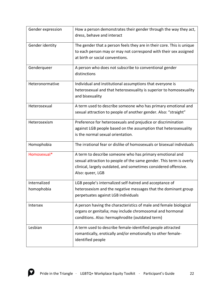| Gender expression          | How a person demonstrates their gender through the way they act,<br>dress, behave and interact                                                                                                                         |
|----------------------------|------------------------------------------------------------------------------------------------------------------------------------------------------------------------------------------------------------------------|
| Gender identity            | The gender that a person feels they are in their core. This is unique<br>to each person may or may not correspond with their sex assigned<br>at birth or social conventions.                                           |
| Genderqueer                | A person who does not subscribe to conventional gender<br>distinctions                                                                                                                                                 |
| Heteronormative            | Individual and institutional assumptions that everyone is<br>heterosexual and that heterosexuality is superior to homosexuality<br>and bisexuality                                                                     |
| Heterosexual               | A term used to describe someone who has primary emotional and<br>sexual attraction to people of another gender. Also: "straight"                                                                                       |
| Heterosexism               | Preference for heterosexuals and prejudice or discrimination<br>against LGB people based on the assumption that heterosexuality<br>is the normal sexual orientation.                                                   |
| Homophobia                 | The irrational fear or dislike of homosexuals or bisexual individuals                                                                                                                                                  |
| Homosexual*                | A term to describe someone who has primary emotional and<br>sexual attraction to people of the same gender. This term is overly<br>clinical, largely outdated, and sometimes considered offensive.<br>Also: queer, LGB |
| Internalized<br>homophobia | LGB people's internalized self-hatred and acceptance of<br>heterosexism and the negative messages that the dominant group<br>perpetuates against LGB individuals                                                       |
| Intersex                   | A person having the characteristics of male and female biological<br>organs or genitalia; may include chromosomal and hormonal<br>conditions. Also: hermaphrodite (outdated term)                                      |
| Lesbian                    | A term used to describe female-identified people attracted<br>romantically, erotically and/or emotionally to other female-<br>identified people                                                                        |

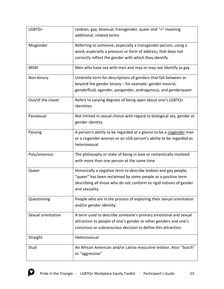| LGBTQ+             | Lesbian, gay, bisexual, transgender, queer and "+" meaning<br>additional, related terms                                                                                                                                  |
|--------------------|--------------------------------------------------------------------------------------------------------------------------------------------------------------------------------------------------------------------------|
| Misgender          | Referring to someone, especially a transgender person, using a<br>word, especially a pronoun or form of address, that does not<br>correctly reflect the gender with which they identify.                                 |
| <b>MSM</b>         | Men who have sex with men and may or may not identify as gay                                                                                                                                                             |
| Non-binary         | Umbrella term for descriptions of genders that fall between or<br>beyond the gender binary - for example: gender neutral,<br>genderfluid, agender, pangender, androgynous, and genderqueer.                              |
| Out/of the closet  | Refers to varying degrees of being open about one's LGBTQ+<br>identities                                                                                                                                                 |
| Pansexual          | Not limited in sexual choice with regard to biological sex, gender or<br>gender identity                                                                                                                                 |
| Passing            | A person's ability to be regarded at a glance to be a cisgender man<br>or a cisgender woman or an LGB person's ability to be regarded as<br>heterosexual                                                                 |
| Poly/amorous       | The philosophy or state of being in love or romantically involved<br>with more than one person at the same time                                                                                                          |
| Queer              | Historically a negative term to describe lesbian and gay people,<br>"queer" has been reclaimed by some people as a positive term<br>describing all those who do not conform to rigid notions of gender<br>and sexuality. |
| Questioning        | People who are in the process of exploring their sexual orientation<br>and/or gender identity.                                                                                                                           |
| Sexual orientation | A term used to describe someone's primary emotional and sexual<br>attraction to people of one's gender or other genders and one's<br>conscious or subconscious decision to define this attraction.                       |
| Straight           | Heterosexual                                                                                                                                                                                                             |
| Stud               | An African American and/or Latina masculine lesbian. Also: "butch"<br>or "aggressive"                                                                                                                                    |